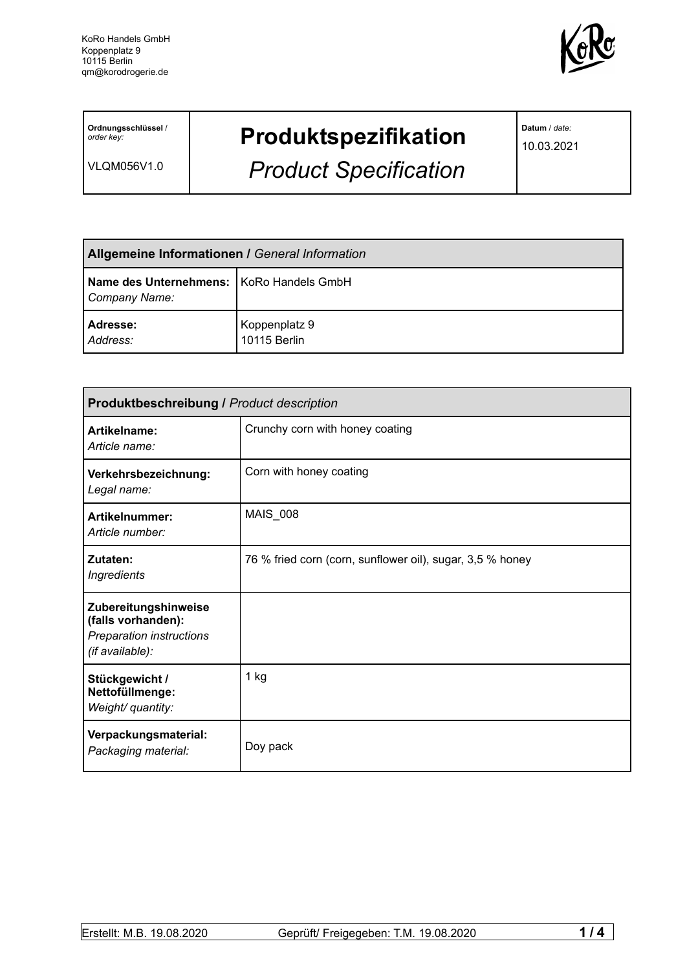

**Ordnungsschlüssel** / *order key:*

VLQM056V1.0

## **Produktspezifikation**

*Product Specification*

**Datum** / *date:*

10.03.2021

| <b>Allgemeine Informationen / General Information</b>       |                               |  |
|-------------------------------------------------------------|-------------------------------|--|
| Name des Unternehmens:   KoRo Handels GmbH<br>Company Name: |                               |  |
| Adresse:<br>Address:                                        | Koppenplatz 9<br>10115 Berlin |  |

| <b>Produktbeschreibung / Product description</b>                                          |                                                           |  |  |
|-------------------------------------------------------------------------------------------|-----------------------------------------------------------|--|--|
| Artikelname:<br>Article name:                                                             | Crunchy corn with honey coating                           |  |  |
| Verkehrsbezeichnung:<br>Legal name:                                                       | Corn with honey coating                                   |  |  |
| <b>Artikelnummer:</b><br>Article number:                                                  | <b>MAIS_008</b>                                           |  |  |
| Zutaten:<br><b>Ingredients</b>                                                            | 76 % fried corn (corn, sunflower oil), sugar, 3,5 % honey |  |  |
| Zubereitungshinweise<br>(falls vorhanden):<br>Preparation instructions<br>(if available): |                                                           |  |  |
| Stückgewicht /<br>Nettofüllmenge:<br>Weight/ quantity:                                    | 1 kg                                                      |  |  |
| Verpackungsmaterial:<br>Packaging material:                                               | Doy pack                                                  |  |  |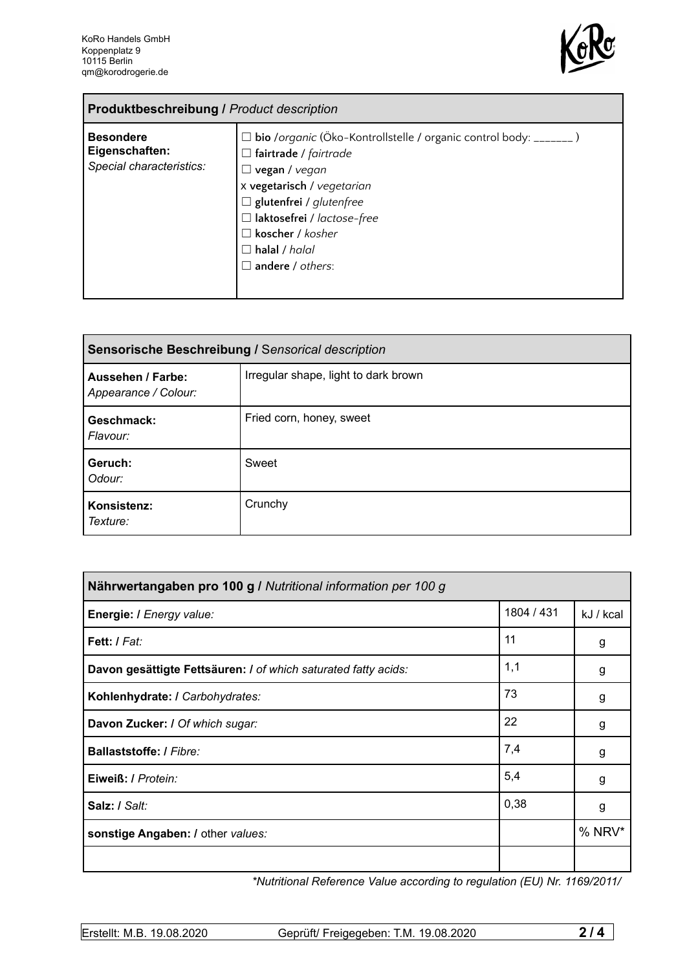'n



| <b>Produktbeschreibung / Product description</b>               |                                                                                                                                                                                                                                                                                                                     |  |
|----------------------------------------------------------------|---------------------------------------------------------------------------------------------------------------------------------------------------------------------------------------------------------------------------------------------------------------------------------------------------------------------|--|
| <b>Besondere</b><br>Eigenschaften:<br>Special characteristics: | $\Box$ bio /organic (Öko-Kontrollstelle / organic control body: _______)<br>$\Box$ fairtrade / fairtrade<br>$\Box$ vegan / vegan<br>x vegetarisch / vegetarian<br>$\Box$ glutenfrei / glutenfree<br>$\Box$ laktosefrei / lactose-free<br>$\Box$ koscher / kosher<br>$\Box$ halal / halal<br>$\Box$ andere / others: |  |

| Sensorische Beschreibung / Sensorical description |                                      |  |
|---------------------------------------------------|--------------------------------------|--|
| Aussehen / Farbe:<br>Appearance / Colour:         | Irregular shape, light to dark brown |  |
| Geschmack:<br>Flavour:                            | Fried corn, honey, sweet             |  |
| Geruch:<br>Odour:                                 | Sweet                                |  |
| Konsistenz:<br>Texture:                           | Crunchy                              |  |

| Nährwertangaben pro 100 g / Nutritional information per 100 g  |            |           |
|----------------------------------------------------------------|------------|-----------|
| Energie: I Energy value:                                       | 1804 / 431 | kJ / kcal |
| Fett: I Fat:                                                   | 11         | g         |
| Davon gesättigte Fettsäuren: I of which saturated fatty acids: | 1,1        | g         |
| Kohlenhydrate: I Carbohydrates:                                | 73         | g         |
| Davon Zucker: I Of which sugar:                                | 22         | g         |
| <b>Ballaststoffe: / Fibre:</b>                                 | 7,4        | g         |
| Eiweiß: / Protein:                                             | 5,4        | g         |
| Salz: / Salt:                                                  | 0,38       | g         |
| sonstige Angaben: / other values:                              |            | % NRV*    |
|                                                                |            |           |

*\*Nutritional Reference Value according to regulation (EU) Nr. 1169/2011/*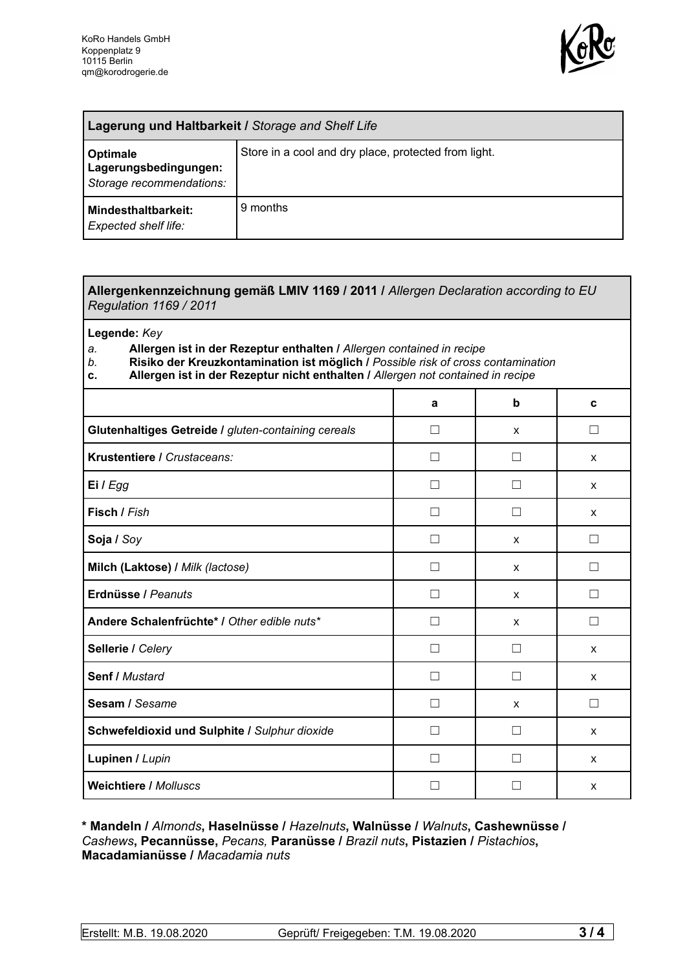

| <b>Lagerung und Haltbarkeit / Storage and Shelf Life</b>             |                                                      |  |
|----------------------------------------------------------------------|------------------------------------------------------|--|
| <b>Optimale</b><br>Lagerungsbedingungen:<br>Storage recommendations: | Store in a cool and dry place, protected from light. |  |
| <b>Mindesthaltbarkeit:</b><br>Expected shelf life:                   | 9 months                                             |  |

## **Allergenkennzeichnung gemäß LMIV 1169 / 2011 /** *Allergen Declaration according to EU Regulation 1169 / 2011*

**Legende:** *Key*

*a.* **Allergen ist in der Rezeptur enthalten /** *Allergen contained in recipe*

- *b.* **Risiko der Kreuzkontamination ist möglich /** *Possible risk of cross contamination*
- **c. Allergen ist in der Rezeptur nicht enthalten /** *Allergen not contained in recipe*

|                                                     | a                 | b                 | C                 |
|-----------------------------------------------------|-------------------|-------------------|-------------------|
| Glutenhaltiges Getreide / gluten-containing cereals | П                 | X                 | П                 |
| Krustentiere / Crustaceans:                         | Ш                 | $\mathbf{I}$      | X                 |
| Ei / Egg                                            |                   |                   | X                 |
| Fisch / Fish                                        |                   |                   | X                 |
| Soja / Soy                                          |                   | X                 |                   |
| Milch (Laktose) / Milk (lactose)                    | $\vert \ \ \vert$ | $\mathsf{x}$      | $\vert \ \ \vert$ |
| Erdnüsse / Peanuts                                  | П                 | $\mathsf{x}$      | П                 |
| Andere Schalenfrüchte* / Other edible nuts*         | П                 | X                 | П                 |
| Sellerie / Celery                                   | $\vert \ \ \vert$ | $\vert \ \ \vert$ | X                 |
| Senf / Mustard                                      | П                 | П                 | X                 |
| Sesam / Sesame                                      | $\vert \ \ \vert$ | X                 | $\Box$            |
| Schwefeldioxid und Sulphite / Sulphur dioxide       | Ш                 |                   | X                 |
| Lupinen / Lupin                                     |                   |                   | X                 |
| <b>Weichtiere / Molluscs</b>                        |                   |                   | X                 |

**\* Mandeln /** *Almonds***, Haselnüsse /** *Hazelnuts***, Walnüsse /** *Walnuts***, Cashewnüsse /** *Cashews***, Pecannüsse,** *Pecans,* **Paranüsse /** *Brazil nuts***, Pistazien /** *Pistachios***, Macadamianüsse /** *Macadamia nuts*